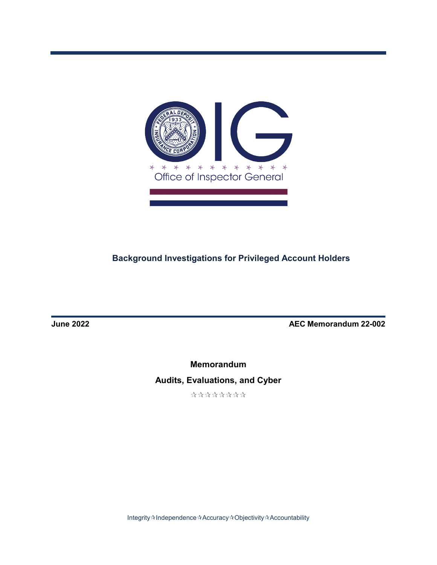

# **Background Investigations for Privileged Account Holders**

**June 2022 AEC Memorandum 22-002** 

**Memorandum Audits, Evaluations, and Cyber**

\*\*\*\*\*\*\*\*

Integrity $\mathbin{\hat{\ast}}$ Independence $\mathbin{\hat{\ast}}$ Accuracy $\mathbin{\hat{\ast}}$ Objectivity $\mathbin{\hat{\ast}}$ Accountability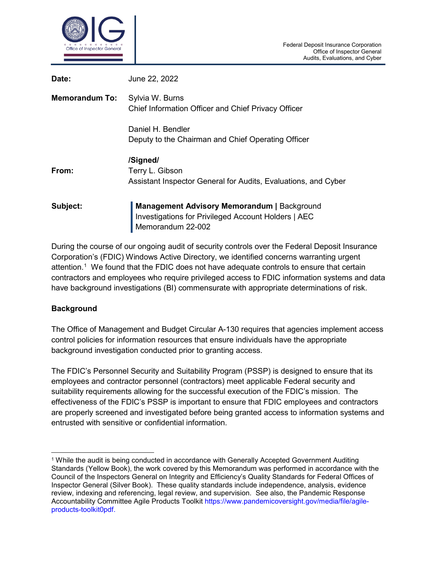

| Date:                 | June 22, 2022                                                                                                           |
|-----------------------|-------------------------------------------------------------------------------------------------------------------------|
| <b>Memorandum To:</b> | Sylvia W. Burns<br>Chief Information Officer and Chief Privacy Officer                                                  |
|                       | Daniel H. Bendler<br>Deputy to the Chairman and Chief Operating Officer                                                 |
| From:                 | /Signed/<br>Terry L. Gibson<br>Assistant Inspector General for Audits, Evaluations, and Cyber                           |
| Subject:              | Management Advisory Memorandum   Background<br>Investigations for Privileged Account Holders   AEC<br>Memorandum 22-002 |

During the course of our ongoing audit of security controls over the Federal Deposit Insurance Corporation's (FDIC) Windows Active Directory, we identified concerns warranting urgent attention.<sup>[1](#page-1-0)</sup> We found that the FDIC does not have adequate controls to ensure that certain contractors and employees who require privileged access to FDIC information systems and data have background investigations (BI) commensurate with appropriate determinations of risk.

#### **Background**

The Office of Management and Budget Circular A-130 requires that agencies implement access control policies for information resources that ensure individuals have the appropriate background investigation conducted prior to granting access.

The FDIC's Personnel Security and Suitability Program (PSSP) is designed to ensure that its employees and contractor personnel (contractors) meet applicable Federal security and suitability requirements allowing for the successful execution of the FDIC's mission. The effectiveness of the FDIC's PSSP is important to ensure that FDIC employees and contractors are properly screened and investigated before being granted access to information systems and entrusted with sensitive or confidential information.

<span id="page-1-0"></span> <sup>1</sup> While the audit is being conducted in accordance with Generally Accepted Government Auditing Standards (Yellow Book), the work covered by this Memorandum was performed in accordance with the Council of the Inspectors General on Integrity and Efficiency's Quality Standards for Federal Offices of Inspector General (Silver Book). These quality standards include independence, analysis, evidence review, indexing and referencing, legal review, and supervision. See also, the Pandemic Response Accountability Committee Agile Products Toolkit https://www.pandemicoversight.gov/media/file/agileproducts-toolkit0pdf.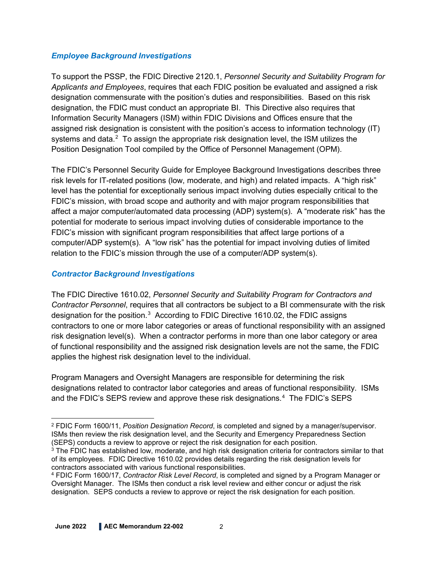#### *Employee Background Investigations*

To support the PSSP, the FDIC Directive 2120.1, *Personnel Security and Suitability Program for Applicants and Employees*, requires that each FDIC position be evaluated and assigned a risk designation commensurate with the position's duties and responsibilities. Based on this risk designation, the FDIC must conduct an appropriate BI. This Directive also requires that Information Security Managers (ISM) within FDIC Divisions and Offices ensure that the assigned risk designation is consistent with the position's access to information technology (IT) systems and data. $^2$  $^2$  To assign the appropriate risk designation level, the ISM utilizes the Position Designation Tool compiled by the Office of Personnel Management (OPM).

The FDIC's Personnel Security Guide for Employee Background Investigations describes three risk levels for IT-related positions (low, moderate, and high) and related impacts. A "high risk" level has the potential for exceptionally serious impact involving duties especially critical to the FDIC's mission, with broad scope and authority and with major program responsibilities that affect a major computer/automated data processing (ADP) system(s). A "moderate risk" has the potential for moderate to serious impact involving duties of considerable importance to the FDIC's mission with significant program responsibilities that affect large portions of a computer/ADP system(s). A "low risk" has the potential for impact involving duties of limited relation to the FDIC's mission through the use of a computer/ADP system(s).

### *Contractor Background Investigations*

The FDIC Directive 1610.02, *Personnel Security and Suitability Program for Contractors and Contractor Personnel*, requires that all contractors be subject to a BI commensurate with the risk designation for the position. $^3\,$  $^3\,$  $^3\,$  According to FDIC Directive 1610.02, the FDIC assigns contractors to one or more labor categories or areas of functional responsibility with an assigned risk designation level(s). When a contractor performs in more than one labor category or area of functional responsibility and the assigned risk designation levels are not the same, the FDIC applies the highest risk designation level to the individual.

Program Managers and Oversight Managers are responsible for determining the risk designations related to contractor labor categories and areas of functional responsibility. ISMs and the FDIC's SEPS review and approve these risk designations.<sup>[4](#page-2-2)</sup> The FDIC's SEPS

<span id="page-2-0"></span> <sup>2</sup> FDIC Form 1600/11, *Position Designation Record*, is completed and signed by a manager/supervisor. ISMs then review the risk designation level, and the Security and Emergency Preparedness Section (SEPS) conducts a review to approve or reject the risk designation for each position.

<span id="page-2-1"></span> $3$  The FDIC has established low, moderate, and high risk designation criteria for contractors similar to that of its employees. FDIC Directive 1610.02 provides details regarding the risk designation levels for contractors associated with various functional responsibilities.

<span id="page-2-2"></span><sup>4</sup> FDIC Form 1600/17, *Contractor Risk Level Record*, is completed and signed by a Program Manager or Oversight Manager. The ISMs then conduct a risk level review and either concur or adjust the risk designation. SEPS conducts a review to approve or reject the risk designation for each position.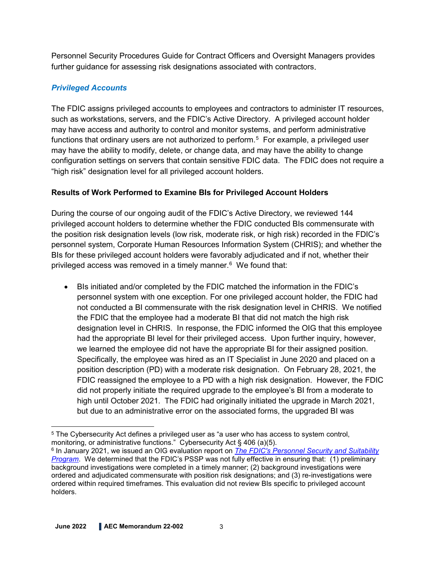Personnel Security Procedures Guide for Contract Officers and Oversight Managers provides further guidance for assessing risk designations associated with contractors.

## *Privileged Accounts*

The FDIC assigns privileged accounts to employees and contractors to administer IT resources, such as workstations, servers, and the FDIC's Active Directory. A privileged account holder may have access and authority to control and monitor systems, and perform administrative functions that ordinary users are not authorized to perform. $^5\,$  $^5\,$  $^5\,$  For example, a privileged user may have the ability to modify, delete, or change data, and may have the ability to change configuration settings on servers that contain sensitive FDIC data. The FDIC does not require a "high risk" designation level for all privileged account holders.

### **Results of Work Performed to Examine BIs for Privileged Account Holders**

During the course of our ongoing audit of the FDIC's Active Directory, we reviewed 144 privileged account holders to determine whether the FDIC conducted BIs commensurate with the position risk designation levels (low risk, moderate risk, or high risk) recorded in the FDIC's personnel system, Corporate Human Resources Information System (CHRIS); and whether the BIs for these privileged account holders were favorably adjudicated and if not, whether their privileged access was removed in a timely manner.<sup>[6](#page-3-1)</sup> We found that:

• BIs initiated and/or completed by the FDIC matched the information in the FDIC's personnel system with one exception. For one privileged account holder, the FDIC had not conducted a BI commensurate with the risk designation level in CHRIS. We notified the FDIC that the employee had a moderate BI that did not match the high risk designation level in CHRIS. In response, the FDIC informed the OIG that this employee had the appropriate BI level for their privileged access. Upon further inquiry, however, we learned the employee did not have the appropriate BI for their assigned position. Specifically, the employee was hired as an IT Specialist in June 2020 and placed on a position description (PD) with a moderate risk designation. On February 28, 2021, the FDIC reassigned the employee to a PD with a high risk designation. However, the FDIC did not properly initiate the required upgrade to the employee's BI from a moderate to high until October 2021. The FDIC had originally initiated the upgrade in March 2021, but due to an administrative error on the associated forms, the upgraded BI was

<span id="page-3-0"></span> $\overline{a}$ <sup>5</sup> The Cybersecurity Act defines a privileged user as "a user who has access to system control, monitoring, or administrative functions." Cybersecurity Act § 406 (a)(5).

<span id="page-3-1"></span><sup>6</sup> In January 2021, we issued an OIG evaluation report on *[The FDIC's Personnel Security and Suitability](https://www.fdicoig.gov/sites/default/files/publications/EVAL-21-001.pdf)  [Program](https://www.fdicoig.gov/sites/default/files/publications/EVAL-21-001.pdf)*. We determined that the FDIC's PSSP was not fully effective in ensuring that: (1) preliminary background investigations were completed in a timely manner; (2) background investigations were ordered and adjudicated commensurate with position risk designations; and (3) re-investigations were ordered within required timeframes. This evaluation did not review BIs specific to privileged account holders.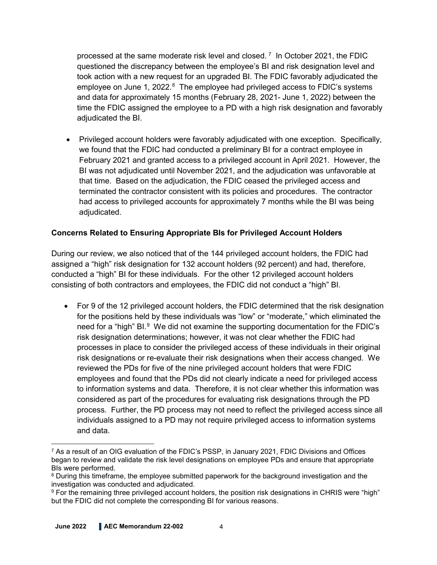processed at the same moderate risk level and closed. [7](#page-4-0) In October 2021, the FDIC questioned the discrepancy between the employee's BI and risk designation level and took action with a new request for an upgraded BI. The FDIC favorably adjudicated the employee on June 1, 2022.<sup>[8](#page-4-1)</sup> The employee had privileged access to FDIC's systems and data for approximately 15 months (February 28, 2021- June 1, 2022) between the time the FDIC assigned the employee to a PD with a high risk designation and favorably adjudicated the BI.

• Privileged account holders were favorably adjudicated with one exception. Specifically, we found that the FDIC had conducted a preliminary BI for a contract employee in February 2021 and granted access to a privileged account in April 2021. However, the BI was not adjudicated until November 2021, and the adjudication was unfavorable at that time. Based on the adjudication, the FDIC ceased the privileged access and terminated the contractor consistent with its policies and procedures. The contractor had access to privileged accounts for approximately 7 months while the BI was being adjudicated.

### **Concerns Related to Ensuring Appropriate BIs for Privileged Account Holders**

During our review, we also noticed that of the 144 privileged account holders, the FDIC had assigned a "high" risk designation for 132 account holders (92 percent) and had, therefore, conducted a "high" BI for these individuals. For the other 12 privileged account holders consisting of both contractors and employees, the FDIC did not conduct a "high" BI.

• For 9 of the 12 privileged account holders, the FDIC determined that the risk designation for the positions held by these individuals was "low" or "moderate," which eliminated the need for a "high" BI. $9$  We did not examine the supporting documentation for the FDIC's risk designation determinations; however, it was not clear whether the FDIC had processes in place to consider the privileged access of these individuals in their original risk designations or re-evaluate their risk designations when their access changed. We reviewed the PDs for five of the nine privileged account holders that were FDIC employees and found that the PDs did not clearly indicate a need for privileged access to information systems and data. Therefore, it is not clear whether this information was considered as part of the procedures for evaluating risk designations through the PD process. Further, the PD process may not need to reflect the privileged access since all individuals assigned to a PD may not require privileged access to information systems and data.

<span id="page-4-0"></span> $\overline{a}$ <sup>7</sup> As a result of an OIG evaluation of the FDIC's PSSP, in January 2021, FDIC Divisions and Offices began to review and validate the risk level designations on employee PDs and ensure that appropriate BIs were performed.

<span id="page-4-1"></span><sup>&</sup>lt;sup>8</sup> During this timeframe, the employee submitted paperwork for the background investigation and the investigation was conducted and adjudicated.

<span id="page-4-2"></span><sup>9</sup> For the remaining three privileged account holders, the position risk designations in CHRIS were "high" but the FDIC did not complete the corresponding BI for various reasons.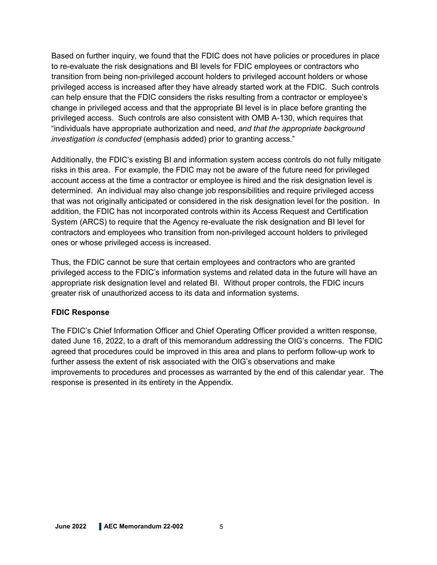Based on further inquiry, we found that the FDIC does not have policies or procedures in place to re-evaluate the risk designations and BI levels for FDIC employees or contractors who transition from being non-privileged account holders to privileged account holders or whose privileged access is increased after they have already started work at the FDIC. Such controls can help ensure that the FDIC considers the risks resulting from a contractor or employee's change in privileged access and that the appropriate BI level is in place before granting the privileged access. Such controls are also consistent with OMB A-130, which requires that "individuals have appropriate authorization and need, *and that the appropriate background investigation is conducted* (emphasis added) prior to granting access."

Additionally, the FDIC's existing BI and information system access controls do not fully mitigate risks in this area. For example, the FDIC may not be aware of the future need for privileged account access at the time a contractor or employee is hired and the risk designation level is determined. An individual may also change job responsibilities and require privileged access that was not originally anticipated or considered in the risk designation level for the position. In addition, the FDIC has not incorporated controls within its Access Request and Certification System (ARCS) to require that the Agency re-evaluate the risk designation and BI level for contractors and employees who transition from non-privileged account holders to privileged ones or whose privileged access is increased.

Thus, the FDIC cannot be sure that certain employees and contractors who are granted privileged access to the FDIC's information systems and related data in the future will have an appropriate risk designation level and related BI. Without proper controls, the FDIC incurs greater risk of unauthorized access to its data and information systems.

#### **FDIC Response**

The FDIC's Chief Information Officer and Chief Operating Officer provided a written response, dated June 16, 2022, to a draft of this memorandum addressing the OIG's concerns. The FDIC agreed that procedures could be improved in this area and plans to perform follow-up work to further assess the extent of risk associated with the OIG's observations and make improvements to procedures and processes as warranted by the end of this calendar year. The response is presented in its entirety in the Appendix.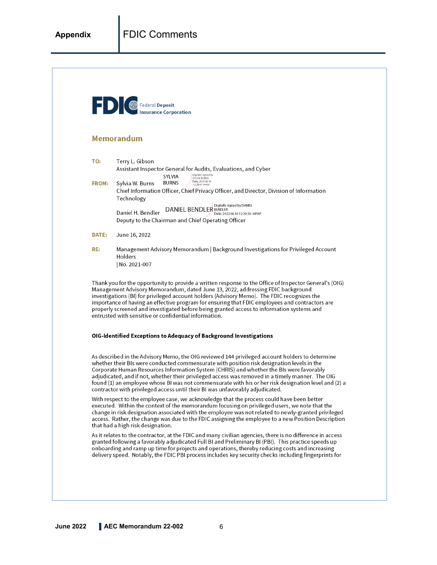| <b>FD G</b> Federal Deposit | <b>Insurance Corporation</b>                                                                                                                                                                                                                                                                                                                                                                                                                                                                                                                                                          |
|-----------------------------|---------------------------------------------------------------------------------------------------------------------------------------------------------------------------------------------------------------------------------------------------------------------------------------------------------------------------------------------------------------------------------------------------------------------------------------------------------------------------------------------------------------------------------------------------------------------------------------|
|                             | <b>Memorandum</b>                                                                                                                                                                                                                                                                                                                                                                                                                                                                                                                                                                     |
| TO:                         | Terry L. Gibson<br>Assistant Inspector General for Audits, Evaluations, and Cyber<br>Digitally signed by<br>SYLVIA                                                                                                                                                                                                                                                                                                                                                                                                                                                                    |
| <b>FROM:</b>                | SYLVIA BURNS<br>Date: 2022.06.16<br><b>BURNS</b><br>Sylvia W. Burns<br>12:2847-04'00<br>Chief Information Officer, Chief Privacy Officer, and Director, Division of Information<br>Technology                                                                                                                                                                                                                                                                                                                                                                                         |
|                             | Digitally signed by DANIEL<br><b>DANIEL BENDLER</b> BENDLER<br>Daniel H. Bendler<br>Date: 2022.06.16 12:20:56 -04'00'<br>Deputy to the Chairman and Chief Operating Officer                                                                                                                                                                                                                                                                                                                                                                                                           |
| DATE:                       | June 16, 2022                                                                                                                                                                                                                                                                                                                                                                                                                                                                                                                                                                         |
| RE:                         | Management Advisory Memorandum   Background Investigations for Privileged Account<br>Holders                                                                                                                                                                                                                                                                                                                                                                                                                                                                                          |
|                             | No. 2021-007                                                                                                                                                                                                                                                                                                                                                                                                                                                                                                                                                                          |
|                             | Thank you for the opportunity to provide a written response to the Office of Inspector General's (OIG)<br>Management Advisory Memorandum, dated June 13, 2022, addressing FDIC background<br>investigations (BI) for privileged account holders (Advisory Memo). The FDIC recognizes the<br>importance of having an effective program for ensuring that FDIC employees and contractors are<br>properly screened and investigated before being granted access to information systems and<br>entrusted with sensitive or confidential information.                                      |
|                             | OIG-Identified Exceptions to Adequacy of Background Investigations                                                                                                                                                                                                                                                                                                                                                                                                                                                                                                                    |
|                             | As described in the Advisory Memo, the OIG reviewed 144 privileged account holders to determine<br>whether their BIs were conducted commensurate with position risk designation levels in the<br>Corporate Human Resources Information System (CHRIS) and whether the BIs were favorably<br>adjudicated, and if not, whether their privileged access was removed in a timely manner. The OIG<br>found (1) an employee whose BI was not commensurate with his or her risk designation level and (2) a<br>contractor with privileged access until their BI was unfavorably adjudicated. |
|                             | With respect to the employee case, we acknowledge that the process could have been better<br>executed. Within the context of the memorandum focusing on privileged users, we note that the<br>change in risk designation associated with the employee was not related to newly-granted privileged<br>access. Rather, the change was due to the FDIC assigning the employee to a new Position Description<br>that had a high risk designation.                                                                                                                                         |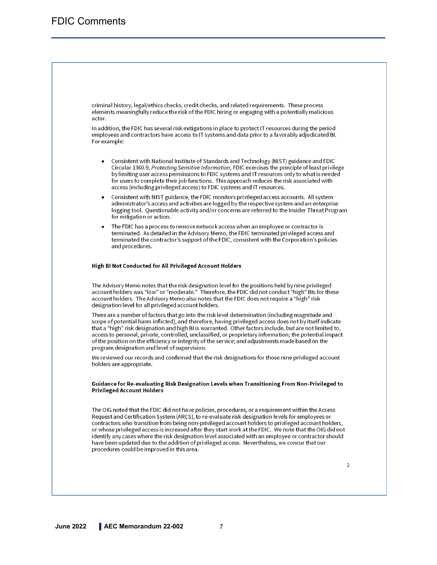criminal history, legal/ethics checks, credit checks, and related requirements. These process elements meaningfully reduce the risk of the FDIC hiring or engaging with a potentially malicious actor.

In addition, the FDIC has several risk mitigations in place to protect IT resources during the period employees and contractors have access to IT systems and data prior to a favorably adjudicated BI. For example:

- Consistent with National Institute of Standards and Technology (NIST) guidance and FDIC Circular 1360.9, Protecting Sensitive Information, FDIC exercises the principle of least privilege by limiting user access permissions to FDIC systems and IT resources only to what is needed for users to complete their job functions. This approach reduces the risk associated with access (including privileged access) to FDIC systems and IT resources.
- Consistent with NIST guidance, the FDIC monitors privileged access accounts. All system administrator's access and activities are logged by the respective system and an enterprise logging tool. Questionable activity and/or concerns are referred to the Insider Threat Program for mitigation or action.
- The FDIC has a process to remove network access when an employee or contractor is terminated. As detailed in the Advisory Memo, the FDIC terminated privileged access and terminated the contractor's support of the FDIC, consistent with the Corporation's policies and procedures.

#### High BI Not Conducted for All Privileged Account Holders

The Advisory Memo notes that the risk designation level for the positions held by nine privileged account holders was "low" or "moderate." Therefore, the FDIC did not conduct "high" BIs for these account holders. The Advisory Memo also notes that the FDIC does not require a "high" risk designation level for all privileged account holders.

There are a number of factors that go into the risk level determination (including magnitude and scope of potential harm inflicted), and therefore, having privileged access does not by itself indicate that a "high" risk designation and high BI is warranted. Other factors include, but are not limited to, access to personal, private, controlled, unclassified, or proprietary information; the potential impact of the position on the efficiency or integrity of the service; and adjustments made based on the program designation and level of supervision.

We reviewed our records and confirmed that the risk designations for those nine privileged account holders are appropriate.

#### Guidance for Re-evaluating Risk Designation Levels when Transitioning From Non-Privileged to **Privileged Account Holders**

The OIG noted that the FDIC did not have policies, procedures, or a requirement within the Access Request and Certification System (ARCS), to re-evaluate risk designation levels for employees or contractors who transition from being non-privileged account holders to privileged account holders, or whose privileged access is increased after they start work at the FDIC. We note that the OIG did not identify any cases where the risk designation level associated with an employee or contractor should have been updated due to the addition of privileged access. Nevertheless, we concur that our procedures could be improved in this area.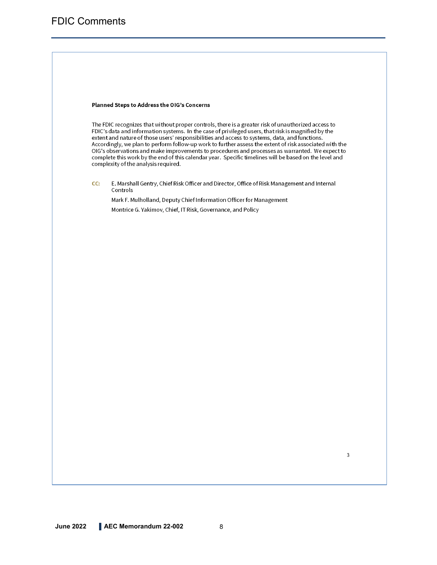#### Planned Steps to Address the OIG's Concerns

The FDIC recognizes that without proper controls, there is a greater risk of unauthorized access to FDIC's data and information systems. In the case of privileged users, that risk is magnified by the extent and nature of those users' responsibilities and access to systems, data, and functions. Accordingly, we plan to perform follow-up work to further assess the extent of risk associated with the OIG's observations and make improvements to procedures and processes as warranted. We expect to complete this work by the end of this calendar year. Specific timelines will be based on the level and complexity of the analysis required.

CC: E. Marshall Gentry, Chief Risk Officer and Director, Office of Risk Management and Internal Controls

Mark F. Mulholland, Deputy Chief Information Officer for Management Montrice G. Yakimov, Chief, IT Risk, Governance, and Policy